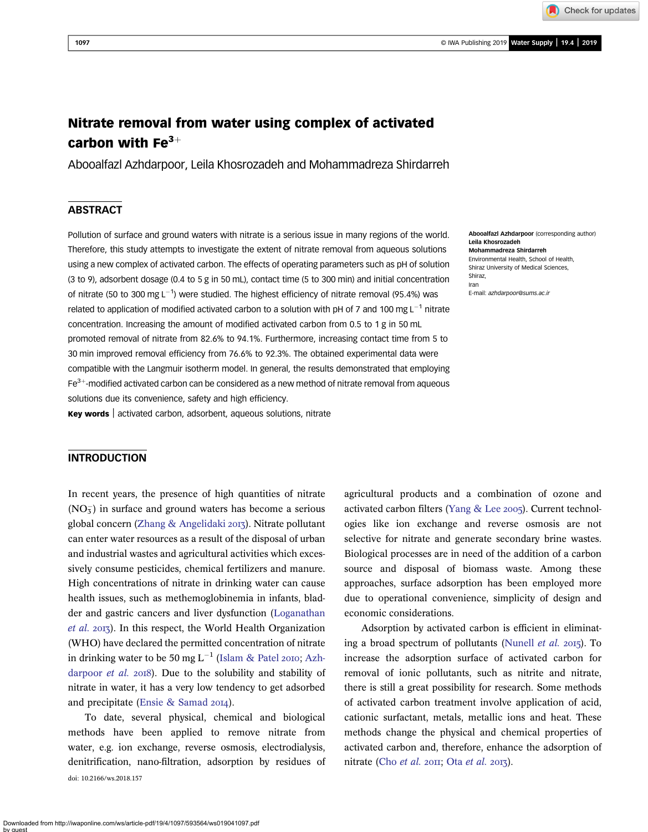Check for updates

# Nitrate removal from water using complex of activated carbon with  $Fe^{3+}$

Abooalfazl Azhdarpoor, Leila Khosrozadeh and Mohammadreza Shirdarreh

# **ABSTRACT**

Pollution of surface and ground waters with nitrate is a serious issue in many regions of the world. Therefore, this study attempts to investigate the extent of nitrate removal from aqueous solutions using a new complex of activated carbon. The effects of operating parameters such as pH of solution (3 to 9), adsorbent dosage (0.4 to 5 g in 50 mL), contact time (5 to 300 min) and initial concentration of nitrate (50 to 300 mg L<sup>-1</sup>) were studied. The highest efficiency of nitrate removal (95.4%) was related to application of modified activated carbon to a solution with pH of 7 and 100 mg L<sup>-1</sup> nitrate concentration. Increasing the amount of modified activated carbon from 0.5 to 1 g in 50 mL promoted removal of nitrate from 82.6% to 94.1%. Furthermore, increasing contact time from 5 to 30 min improved removal efficiency from 76.6% to 92.3%. The obtained experimental data were compatible with the Langmuir isotherm model. In general, the results demonstrated that employing  $Fe<sup>3+</sup>$ -modified activated carbon can be considered as a new method of nitrate removal from aqueous solutions due its convenience, safety and high efficiency.

Key words | activated carbon, adsorbent, aqueous solutions, nitrate

# **INTRODUCTION**

In recent years, the presence of high quantities of nitrate  $(NO<sub>3</sub>)$  in surface and ground waters has become a serious global concern [\(Zhang & Angelidaki](#page-5-0) 2013). Nitrate pollutant can enter water resources as a result of the disposal of urban and industrial wastes and agricultural activities which excessively consume pesticides, chemical fertilizers and manure. High concentrations of nitrate in drinking water can cause health issues, such as methemoglobinemia in infants, bladder and gastric cancers and liver dysfunction [\(Loganathan](#page-5-0) [et al.](#page-5-0) 2013). In this respect, the World Health Organization (WHO) have declared the permitted concentration of nitrate in drinking water to be 50 mg  $L^{-1}$  ([Islam & Patel](#page-5-0) 2010; [Azh](#page-5-0)[darpoor](#page-5-0)  $et$  al.  $2018$ ). Due to the solubility and stability of nitrate in water, it has a very low tendency to get adsorbed and precipitate [\(Ensie & Samad](#page-5-0) 2014).

To date, several physical, chemical and biological methods have been applied to remove nitrate from water, e.g. ion exchange, reverse osmosis, electrodialysis, denitrification, nano-filtration, adsorption by residues of doi: 10.2166/ws.2018.157

agricultural products and a combination of ozone and activated carbon filters ([Yang & Lee](#page-5-0) 2005). Current technologies like ion exchange and reverse osmosis are not selective for nitrate and generate secondary brine wastes. Biological processes are in need of the addition of a carbon source and disposal of biomass waste. Among these approaches, surface adsorption has been employed more due to operational convenience, simplicity of design and economic considerations.

Adsorption by activated carbon is efficient in eliminat-ing a broad spectrum of pollutants ([Nunell](#page-5-0) *et al.*  $2015$ ). To increase the adsorption surface of activated carbon for removal of ionic pollutants, such as nitrite and nitrate, there is still a great possibility for research. Some methods of activated carbon treatment involve application of acid, cationic surfactant, metals, metallic ions and heat. These methods change the physical and chemical properties of activated carbon and, therefore, enhance the adsorption of nitrate (Cho [et al.](#page-5-0) 2011; Ota et al. 2013).

Abooalfazl Azhdarpoor (corresponding author) Leila Khosrozadeh Mohammadreza Shirdarreh Environmental Health, School of Health, Shiraz University of Medical Sciences, Shiraz, Iran E-mail: [azhdarpoor@sums.ac.ir](mailto:azhdarpoor@sums.ac.ir)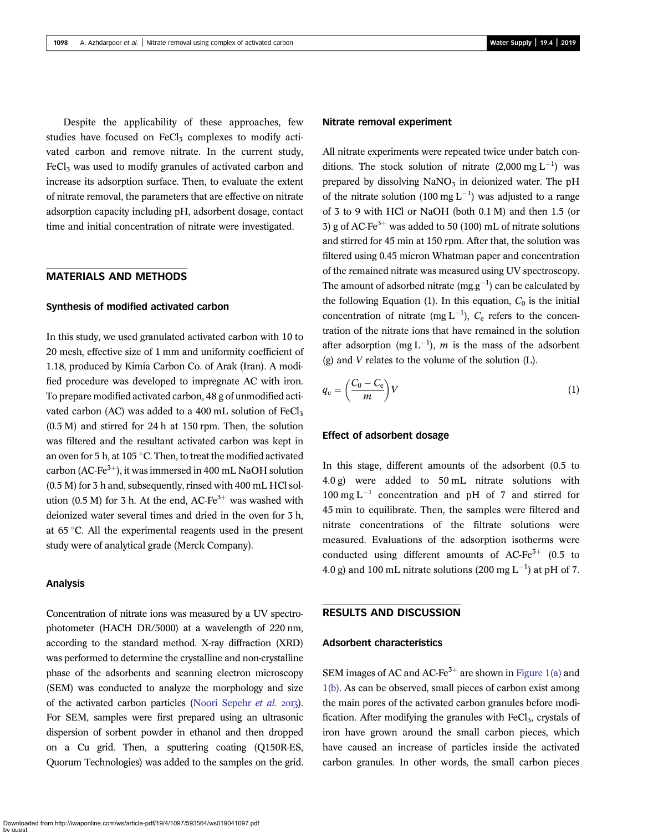Despite the applicability of these approaches, few studies have focused on  $FeCl<sub>3</sub>$  complexes to modify activated carbon and remove nitrate. In the current study,  $FeCl<sub>3</sub>$  was used to modify granules of activated carbon and increase its adsorption surface. Then, to evaluate the extent of nitrate removal, the parameters that are effective on nitrate adsorption capacity including pH, adsorbent dosage, contact time and initial concentration of nitrate were investigated.

## MATERIALS AND METHODS

#### Synthesis of modified activated carbon

In this study, we used granulated activated carbon with 10 to 20 mesh, effective size of 1 mm and uniformity coefficient of 1.18, produced by Kimia Carbon Co. of Arak (Iran). A modified procedure was developed to impregnate AC with iron. To prepare modified activated carbon, 48 g of unmodified activated carbon (AC) was added to a 400 mL solution of  $FeCl<sub>3</sub>$ (0.5 M) and stirred for 24 h at 150 rpm. Then, the solution was filtered and the resultant activated carbon was kept in an oven for 5 h, at 105  $\degree$ C. Then, to treat the modified activated carbon (AC-Fe<sup>3+</sup>), it was immersed in 400 mL NaOH solution (0.5 M) for 3 h and, subsequently, rinsed with 400 mL HCl solution (0.5 M) for 3 h. At the end,  $AC-Fe^{3+}$  was washed with deionized water several times and dried in the oven for 3 h, at  $65^{\circ}$ C. All the experimental reagents used in the present study were of analytical grade (Merck Company).

#### Analysis

Concentration of nitrate ions was measured by a UV spectrophotometer (HACH DR/5000) at a wavelength of 220 nm, according to the standard method. X-ray diffraction (XRD) was performed to determine the crystalline and non-crystalline phase of the adsorbents and scanning electron microscopy (SEM) was conducted to analyze the morphology and size of the activated carbon particles ([Noori Sepehr](#page-5-0) et al. 2013). For SEM, samples were first prepared using an ultrasonic dispersion of sorbent powder in ethanol and then dropped on a Cu grid. Then, a sputtering coating (Q150R-ES, Quorum Technologies) was added to the samples on the grid.  $(g)$  and V relates to the volume of the solution  $(L)$ .

In this stage, different amounts of the adsorbent (0.5 to 4.0 g) were added to 50 mL nitrate solutions with  $100 \text{ mg L}^{-1}$  concentration and pH of 7 and stirred for 45 min to equilibrate. Then, the samples were filtered and nitrate concentrations of the filtrate solutions were measured. Evaluations of the adsorption isotherms were conducted using different amounts of AC-Fe<sup>3+</sup> (0.5 to 4.0 g) and 100 mL nitrate solutions (200 mg  $L^{-1}$ ) at pH of 7.

 $\left(\frac{C_0 - C_e}{m}\right)V$  (1)

## RESULTS AND DISCUSSION

Nitrate removal experiment

All nitrate experiments were repeated twice under batch conditions. The stock solution of nitrate  $(2,000 \text{ mg L}^{-1})$  was prepared by dissolving  $NaNO<sub>3</sub>$  in deionized water. The pH of the nitrate solution (100 mg  $L^{-1}$ ) was adjusted to a range of 3 to 9 with HCl or NaOH (both 0.1 M) and then 1.5 (or 3) g of AC-Fe<sup>3+</sup> was added to 50 (100) mL of nitrate solutions and stirred for 45 min at 150 rpm. After that, the solution was filtered using 0.45 micron Whatman paper and concentration of the remained nitrate was measured using UV spectroscopy. The amount of adsorbed nitrate  $(mg.g^{-1})$  can be calculated by the following Equation (1). In this equation,  $C_0$  is the initial concentration of nitrate (mg  $L^{-1}$ ),  $C_e$  refers to the concentration of the nitrate ions that have remained in the solution after adsorption (mg  $L^{-1}$ ), m is the mass of the adsorbent

#### Adsorbent characteristics

 $q_e = \left(\frac{C_0 - C_e}{m}\right)$ 

Effect of adsorbent dosage

SEM images of AC and AC-Fe<sup>3+</sup> are shown in [Figure 1\(a\)](#page-2-0) and [1\(b\)](#page-2-0). As can be observed, small pieces of carbon exist among the main pores of the activated carbon granules before modification. After modifying the granules with  $FeCl<sub>3</sub>$ , crystals of iron have grown around the small carbon pieces, which have caused an increase of particles inside the activated carbon granules. In other words, the small carbon pieces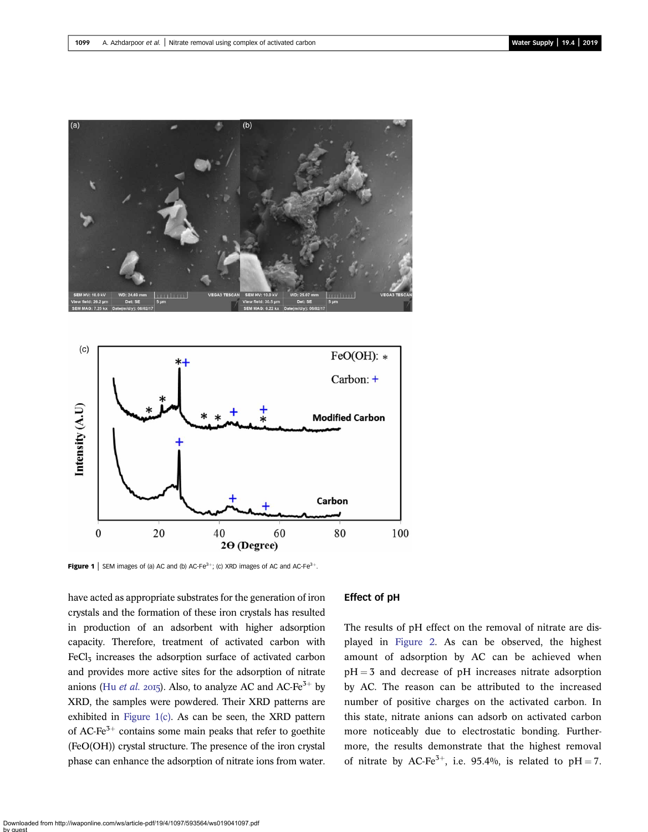<span id="page-2-0"></span>



**Figure 1** SEM images of (a) AC and (b) AC-Fe<sup>3+</sup>; (c) XRD images of AC and AC-Fe<sup>3+</sup>.

have acted as appropriate substrates for the generation of iron crystals and the formation of these iron crystals has resulted in production of an adsorbent with higher adsorption capacity. Therefore, treatment of activated carbon with  $FeCl<sub>3</sub>$  increases the adsorption surface of activated carbon and provides more active sites for the adsorption of nitrate anions (Hu [et al.](#page-5-0) 2015). Also, to analyze AC and AC-Fe<sup>3+</sup> by XRD, the samples were powdered. Their XRD patterns are exhibited in Figure 1(c). As can be seen, the XRD pattern of AC-Fe<sup>3+</sup> contains some main peaks that refer to goethite (FeO(OH)) crystal structure. The presence of the iron crystal phase can enhance the adsorption of nitrate ions from water.

## Effect of pH

The results of pH effect on the removal of nitrate are displayed in [Figure 2](#page-3-0). As can be observed, the highest amount of adsorption by AC can be achieved when  $pH = 3$  and decrease of  $pH$  increases nitrate adsorption by AC. The reason can be attributed to the increased number of positive charges on the activated carbon. In this state, nitrate anions can adsorb on activated carbon more noticeably due to electrostatic bonding. Furthermore, the results demonstrate that the highest removal of nitrate by AC-Fe<sup>3+</sup>, i.e. 95.4%, is related to pH = 7.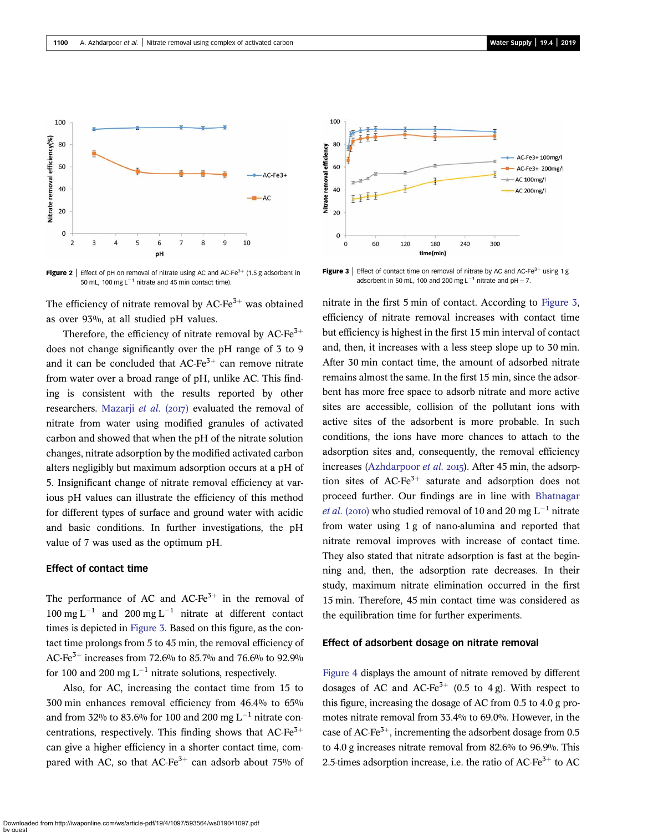<span id="page-3-0"></span>

Figure 2 | Effect of pH on removal of nitrate using AC and AC-Fe $3+$  (1.5 g adsorbent in 50 mL, 100 mg  $L^{-1}$  nitrate and 45 min contact time).

The efficiency of nitrate removal by  $AC-Fe^{3+}$  was obtained as over 93%, at all studied pH values.

Therefore, the efficiency of nitrate removal by AC-Fe<sup>3+</sup> does not change significantly over the pH range of 3 to 9 and it can be concluded that  $AC-Fe^{3+}$  can remove nitrate from water over a broad range of pH, unlike AC. This finding is consistent with the results reported by other researchers. [Mazarji](#page-5-0) et al.  $(2017)$  evaluated the removal of nitrate from water using modified granules of activated carbon and showed that when the pH of the nitrate solution changes, nitrate adsorption by the modified activated carbon alters negligibly but maximum adsorption occurs at a pH of 5. Insignificant change of nitrate removal efficiency at various pH values can illustrate the efficiency of this method for different types of surface and ground water with acidic and basic conditions. In further investigations, the pH value of 7 was used as the optimum pH.

#### Effect of contact time

The performance of AC and AC-Fe $3+$  in the removal of 100 mg  $L^{-1}$  and 200 mg  $L^{-1}$  nitrate at different contact times is depicted in Figure 3. Based on this figure, as the contact time prolongs from 5 to 45 min, the removal efficiency of AC-Fe<sup>3+</sup> increases from 72.6% to 85.7% and 76.6% to 92.9% for 100 and 200 mg  $L^{-1}$  nitrate solutions, respectively.

Also, for AC, increasing the contact time from 15 to 300 min enhances removal efficiency from 46.4% to 65% and from 32% to 83.6% for 100 and 200 mg  $L^{-1}$  nitrate concentrations, respectively. This finding shows that  $AC-Fe^{3+}$ can give a higher efficiency in a shorter contact time, compared with AC, so that  $AC\text{-}Fe^{3+}$  can adsorb about 75% of



Figure 3 | Effect of contact time on removal of nitrate by AC and AC-Fe $3+$  using 1 g adsorbent in 50 mL, 100 and 200 mg  $L^{-1}$  nitrate and pH = 7.

nitrate in the first 5 min of contact. According to Figure 3, efficiency of nitrate removal increases with contact time but efficiency is highest in the first 15 min interval of contact and, then, it increases with a less steep slope up to 30 min. After 30 min contact time, the amount of adsorbed nitrate remains almost the same. In the first 15 min, since the adsorbent has more free space to adsorb nitrate and more active sites are accessible, collision of the pollutant ions with active sites of the adsorbent is more probable. In such conditions, the ions have more chances to attach to the adsorption sites and, consequently, the removal efficiency increases [\(Azhdarpoor](#page-5-0) *et al.* 2015). After 45 min, the adsorption sites of  $AC-Fe^{3+}$  saturate and adsorption does not proceed further. Our findings are in line with [Bhatnagar](#page-5-0) *[et al.](#page-5-0)* (2010) who studied removal of 10 and 20 mg  $L^{-1}$  nitrate from water using 1 g of nano-alumina and reported that nitrate removal improves with increase of contact time. They also stated that nitrate adsorption is fast at the beginning and, then, the adsorption rate decreases. In their study, maximum nitrate elimination occurred in the first 15 min. Therefore, 45 min contact time was considered as the equilibration time for further experiments.

#### Effect of adsorbent dosage on nitrate removal

[Figure 4](#page-4-0) displays the amount of nitrate removed by different dosages of AC and AC-Fe<sup>3+</sup> (0.5 to 4 g). With respect to this figure, increasing the dosage of AC from 0.5 to 4.0 g promotes nitrate removal from 33.4% to 69.0%. However, in the case of AC-Fe<sup>3+</sup>, incrementing the adsorbent dosage from 0.5 to 4.0 g increases nitrate removal from 82.6% to 96.9%. This 2.5-times adsorption increase, i.e. the ratio of  $AC-Fe^{3+}$  to  $AC$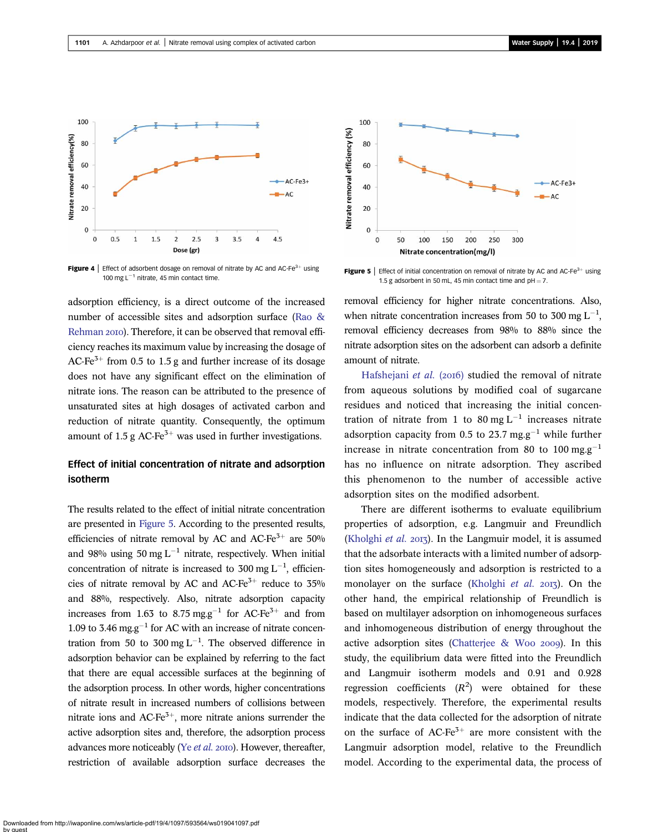<span id="page-4-0"></span>

**Figure 4** | Effect of adsorbent dosage on removal of nitrate by AC and AC-Fe<sup>3+</sup> using 100 mg  $L^{-1}$  nitrate, 45 min contact time.

adsorption efficiency, is a direct outcome of the increased number of accessible sites and adsorption surface ([Rao &](#page-5-0) [Rehman](#page-5-0) 2010). Therefore, it can be observed that removal efficiency reaches its maximum value by increasing the dosage of AC-Fe<sup>3+</sup> from 0.5 to 1.5 g and further increase of its dosage does not have any significant effect on the elimination of nitrate ions. The reason can be attributed to the presence of unsaturated sites at high dosages of activated carbon and reduction of nitrate quantity. Consequently, the optimum amount of 1.5 g AC-Fe<sup>3+</sup> was used in further investigations.

# Effect of initial concentration of nitrate and adsorption isotherm

The results related to the effect of initial nitrate concentration are presented in Figure 5. According to the presented results, efficiencies of nitrate removal by AC and AC-Fe<sup>3+</sup> are 50% and 98% using 50 mg  $L^{-1}$  nitrate, respectively. When initial concentration of nitrate is increased to 300 mg  $L^{-1}$ , efficiencies of nitrate removal by AC and AC-Fe<sup>3+</sup> reduce to  $35\%$ and 88%, respectively. Also, nitrate adsorption capacity increases from 1.63 to 8.75 mg.g<sup>-1</sup> for AC-Fe<sup>3+</sup> and from 1.09 to 3.46 mg.g<sup>-1</sup> for AC with an increase of nitrate concentration from 50 to 300 mg  $L^{-1}$ . The observed difference in adsorption behavior can be explained by referring to the fact that there are equal accessible surfaces at the beginning of the adsorption process. In other words, higher concentrations of nitrate result in increased numbers of collisions between nitrate ions and AC-Fe $3+$ , more nitrate anions surrender the active adsorption sites and, therefore, the adsorption process advances more noticeably (Ye  $et$   $al.$  2010). However, thereafter, restriction of available adsorption surface decreases the



**Figure 5** | Effect of initial concentration on removal of nitrate by AC and AC-Fe<sup>3+</sup> using 1.5 g adsorbent in 50 mL, 45 min contact time and  $pH = 7$ .

removal efficiency for higher nitrate concentrations. Also, when nitrate concentration increases from 50 to 300 mg  $L^{-1}$ , removal efficiency decreases from 98% to 88% since the nitrate adsorption sites on the adsorbent can adsorb a definite amount of nitrate.

[Hafshejani](#page-5-0) et al. (2016) studied the removal of nitrate from aqueous solutions by modified coal of sugarcane residues and noticed that increasing the initial concentration of nitrate from 1 to 80 mg  $L^{-1}$  increases nitrate adsorption capacity from 0.5 to 23.7 mg.g<sup>-1</sup> while further increase in nitrate concentration from 80 to 100 mg.g<sup>-1</sup> has no influence on nitrate adsorption. They ascribed this phenomenon to the number of accessible active adsorption sites on the modified adsorbent.

There are different isotherms to evaluate equilibrium properties of adsorption, e.g. Langmuir and Freundlich [\(Kholghi](#page-5-0) et al.  $20I_3$ ). In the Langmuir model, it is assumed that the adsorbate interacts with a limited number of adsorption sites homogeneously and adsorption is restricted to a monolayer on the surface [\(Kholghi](#page-5-0) et al.  $2017$ ). On the other hand, the empirical relationship of Freundlich is based on multilayer adsorption on inhomogeneous surfaces and inhomogeneous distribution of energy throughout the active adsorption sites (Chatterjee  $\&$  Woo 2009). In this study, the equilibrium data were fitted into the Freundlich and Langmuir isotherm models and 0.91 and 0.928 regression coefficients  $(R^2)$  were obtained for these models, respectively. Therefore, the experimental results indicate that the data collected for the adsorption of nitrate on the surface of AC-Fe<sup>3+</sup> are more consistent with the Langmuir adsorption model, relative to the Freundlich model. According to the experimental data, the process of